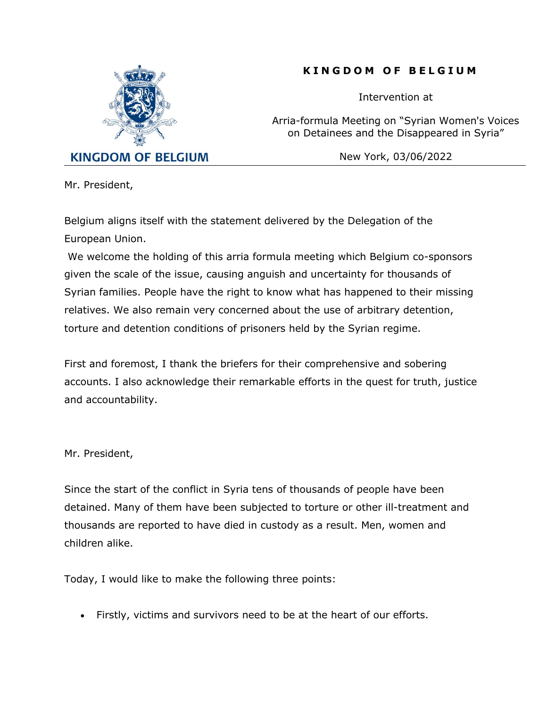

## **K I N G D O M O F B E L G I U M**

Intervention at

Arria-formula Meeting on "Syrian Women's Voices on Detainees and the Disappeared in Syria"

New York, 03/06/2022

Mr. President,

Belgium aligns itself with the statement delivered by the Delegation of the European Union.

We welcome the holding of this arria formula meeting which Belgium co-sponsors given the scale of the issue, causing anguish and uncertainty for thousands of Syrian families. People have the right to know what has happened to their missing relatives. We also remain very concerned about the use of arbitrary detention, torture and detention conditions of prisoners held by the Syrian regime.

First and foremost, I thank the briefers for their comprehensive and sobering accounts. I also acknowledge their remarkable efforts in the quest for truth, justice and accountability.

Mr. President,

Since the start of the conflict in Syria tens of thousands of people have been detained. Many of them have been subjected to torture or other ill-treatment and thousands are reported to have died in custody as a result. Men, women and children alike.

Today, I would like to make the following three points:

• Firstly, victims and survivors need to be at the heart of our efforts.